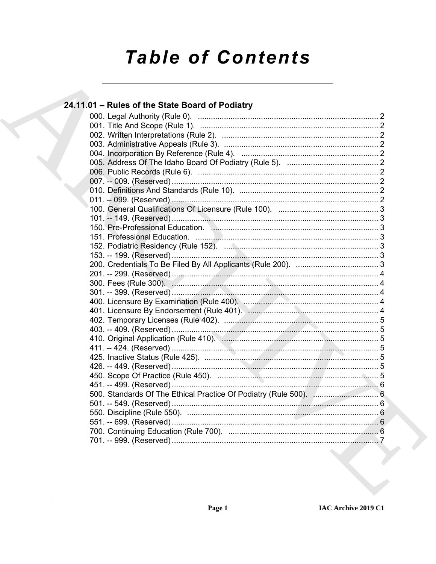# **Table of Contents**

| 24.11.01 - Rules of the State Board of Podiatry              |  |
|--------------------------------------------------------------|--|
|                                                              |  |
|                                                              |  |
|                                                              |  |
|                                                              |  |
|                                                              |  |
|                                                              |  |
|                                                              |  |
|                                                              |  |
|                                                              |  |
|                                                              |  |
|                                                              |  |
|                                                              |  |
| 150. Pre-Professional Education. Manual Communications and 3 |  |
|                                                              |  |
|                                                              |  |
|                                                              |  |
|                                                              |  |
|                                                              |  |
|                                                              |  |
|                                                              |  |
|                                                              |  |
|                                                              |  |
|                                                              |  |
|                                                              |  |
|                                                              |  |
|                                                              |  |
|                                                              |  |
|                                                              |  |
|                                                              |  |
|                                                              |  |
|                                                              |  |
|                                                              |  |
|                                                              |  |
|                                                              |  |
|                                                              |  |
|                                                              |  |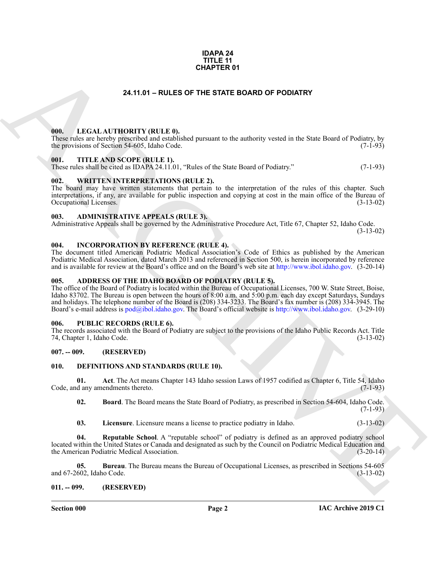#### **IDAPA 24 TITLE 11 CHAPTER 01**

## **24.11.01 – RULES OF THE STATE BOARD OF PODIATRY**

## <span id="page-1-20"></span><span id="page-1-1"></span><span id="page-1-0"></span>**000. LEGAL AUTHORITY (RULE 0).**

These rules are hereby prescribed and established pursuant to the authority vested in the State Board of Podiatry, by the provisions of Section 54-605. Idaho Code. (7-1-93) the provisions of Section 54-605, Idaho Code.

### <span id="page-1-22"></span><span id="page-1-2"></span>**001. TITLE AND SCOPE (RULE 1).**

These rules shall be cited as IDAPA 24.11.01, "Rules of the State Board of Podiatry." (7-1-93)

## <span id="page-1-23"></span><span id="page-1-3"></span>**002. WRITTEN INTERPRETATIONS (RULE 2).**

The board may have written statements that pertain to the interpretation of the rules of this chapter. Such interpretations, if any, are available for public inspection and copying at cost in the main office of the Bureau of Occupational Licenses. (3-13-02)

### <span id="page-1-12"></span><span id="page-1-4"></span>**003. ADMINISTRATIVE APPEALS (RULE 3).**

Administrative Appeals shall be governed by the Administrative Procedure Act, Title 67, Chapter 52, Idaho Code.

## (3-13-02)

## <span id="page-1-19"></span><span id="page-1-5"></span>**004. INCORPORATION BY REFERENCE (RULE 4).**

The document titled American Podiatric Medical Association's Code of Ethics as published by the American Podiatric Medical Association, dated March 2013 and referenced in Section 500, is herein incorporated by reference and is available for review at the Board's office and on the Board's web site at http://www.ibol.idaho.gov. (3-20-14)

## <span id="page-1-11"></span><span id="page-1-6"></span>**005. ADDRESS OF THE IDAHO BOARD OF PODIATRY (RULE 5).**

**CHAPTER OF**<br>
24.11.01 - RULES OF THE STATE BOARD OF PODATRY<br>
100. LEGAL AUTHORITY (RITLE 0).<br>
100. LEGAL AUTHORITY (RITLE 0).<br>
100. LEGAL AUTHORITY (RITLE 0).<br>
100. LEGAL AUTHORITY (RITLE 0).<br>
100. LEGAL AUTHORITY (RITLE The office of the Board of Podiatry is located within the Bureau of Occupational Licenses, 700 W. State Street, Boise, Idaho 83702. The Bureau is open between the hours of 8:00 a.m. and 5:00 p.m. each day except Saturdays, Sundays and holidays. The telephone number of the Board is (208) 334-3233. The Board's fax number is (208) 334-3945. The Board's e-mail address is pod@ibol.idaho.gov. The Board's official website is http://www.ibol.idaho.gov. (3-29-10)

### <span id="page-1-21"></span><span id="page-1-7"></span>**006. PUBLIC RECORDS (RULE 6).**

The records associated with the Board of Podiatry are subject to the provisions of the Idaho Public Records Act. Title 74, Chapter 1, Idaho Code. (3-13-02)

## <span id="page-1-8"></span>**007. -- 009. (RESERVED)**

### <span id="page-1-13"></span><span id="page-1-9"></span>**010. DEFINITIONS AND STANDARDS (RULE 10).**

**01.** Act. The Act means Chapter 143 Idaho session Laws of 1957 codified as Chapter 6, Title 54, Idaho d any amendments thereto. (7-1-93) Code, and any amendments thereto.

<span id="page-1-15"></span><span id="page-1-14"></span>**02. Board**. The Board means the State Board of Podiatry, as prescribed in Section 54-604, Idaho Code.  $(7-1-93)$ 

<span id="page-1-18"></span><span id="page-1-17"></span><span id="page-1-16"></span>**03. Licensure**. Licensure means a license to practice podiatry in Idaho. (3-13-02)

**04. Reputable School**. A "reputable school" of podiatry is defined as an approved podiatry school located within the United States or Canada and designated as such by the Council on Podiatric Medical Education and the American Podiatric Medical Association.

**05. Bureau**. The Bureau means the Bureau of Occupational Licenses, as prescribed in Sections 54-605 and 67-2602, Idaho Code. (3-13-02)

## <span id="page-1-10"></span>**011. -- 099. (RESERVED)**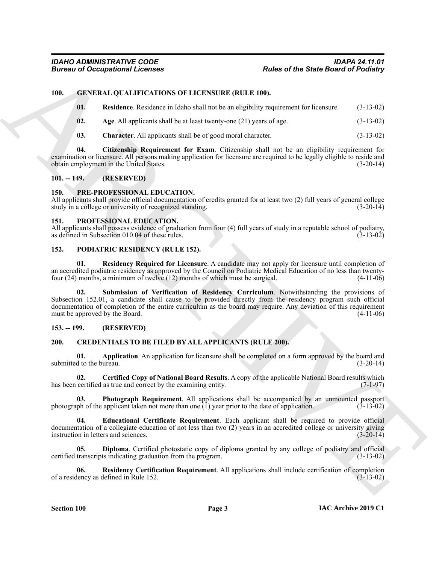## <span id="page-2-0"></span>**100. GENERAL QUALIFICATIONS OF LICENSURE (RULE 100).**

- <span id="page-2-18"></span><span id="page-2-14"></span>**01. Residence**. Residence in Idaho shall not be an eligibility requirement for licensure. (3-13-02)
- <span id="page-2-16"></span><span id="page-2-15"></span>**02. Age**. All applicants shall be at least twenty-one (21) years of age. (3-13-02)
- <span id="page-2-17"></span>**03. Character**. All applicants shall be of good moral character. (3-13-02)

**04. Citizenship Requirement for Exam**. Citizenship shall not be an eligibility requirement for examination or licensure. All persons making application for licensure are required to be legally eligible to reside and obtain employment in the United States. (3-20-14)

### <span id="page-2-1"></span>**101. -- 149. (RESERVED)**

### <span id="page-2-22"></span><span id="page-2-2"></span>**150. PRE-PROFESSIONAL EDUCATION.**

All applicants shall provide official documentation of credits granted for at least two (2) full years of general college study in a college or university of recognized standing. (3-20-14)

## <span id="page-2-23"></span><span id="page-2-3"></span>**151. PROFESSIONAL EDUCATION.**

All applicants shall possess evidence of graduation from four (4) full years of study in a reputable school of podiatry, as defined in Subsection 010.04 of these rules. (3-13-02) as defined in Subsection 010.04 of these rules.

### <span id="page-2-19"></span><span id="page-2-4"></span>**152. PODIATRIC RESIDENCY (RULE 152).**

<span id="page-2-21"></span><span id="page-2-20"></span>**01. Residency Required for Licensure**. A candidate may not apply for licensure until completion of an accredited podiatric residency as approved by the Council on Podiatric Medical Education of no less than twenty-<br>four (24) months, a minimum of twelve (12) months of which must be surgical. (4-11-06) four  $(24)$  months, a minimum of twelve  $(12)$  months of which must be surgical.

Forces of Occupations I. Leones Co. (1983)<br>
10. Conceptibility Research of March 2001 and Arch 2013 and Arch 2013 and Arch 2013 and Arch 2013 and Arch 2013 and Arch 2013 and Arch 2013 and Arch 2013 and Arch 2013 and Arch **02. Submission of Verification of Residency Curriculum**. Notwithstanding the provisions of Subsection 152.01, a candidate shall cause to be provided directly from the residency program such official documentation of completion of the entire curriculum as the board may require. Any deviation of this requirement must be approved by the Board. (4-11-06)

### <span id="page-2-5"></span>**153. -- 199. (RESERVED)**

## <span id="page-2-7"></span><span id="page-2-6"></span>**200. CREDENTIALS TO BE FILED BY ALL APPLICANTS (RULE 200).**

<span id="page-2-8"></span>**01. Application**. An application for licensure shall be completed on a form approved by the board and d to the bureau. (3-20-14) submitted to the bureau.

<span id="page-2-9"></span>**02. Certified Copy of National Board Results**. A copy of the applicable National Board results which has been certified as true and correct by the examining entity. (7-1-97)

<span id="page-2-12"></span>**03. Photograph Requirement**. All applications shall be accompanied by an unmounted passport photograph of the applicant taken not more than one (1) year prior to the date of application. (3-13-02) photograph of the applicant taken not more than one  $(1)$  year prior to the date of application.

<span id="page-2-11"></span>**04. Educational Certificate Requirement**. Each applicant shall be required to provide official documentation of a collegiate education of not less than two (2) years in an accredited college or university giving<br>instruction in letters and sciences.<br>(3-20-14) instruction in letters and sciences.

<span id="page-2-10"></span>**05. Diploma**. Certified photostatic copy of diploma granted by any college of podiatry and official certified transcripts indicating graduation from the program. (3-13-02)

<span id="page-2-13"></span>**06. Residency Certification Requirement**. All applications shall include certification of completion of a residency as defined in Rule 152.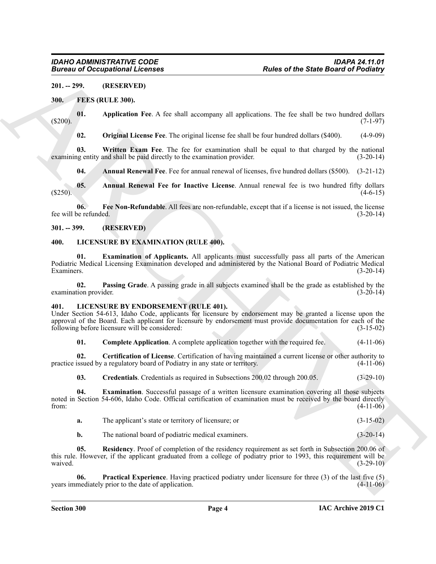## <span id="page-3-0"></span>**201. -- 299. (RESERVED)**

## <span id="page-3-5"></span><span id="page-3-1"></span>**300. FEES (RULE 300).**

**01. Application Fee**. A fee shall accompany all applications. The fee shall be two hundred dollars (\$200). (7-1-97)

<span id="page-3-11"></span><span id="page-3-10"></span><span id="page-3-8"></span>**02. Original License Fee**. The original license fee shall be four hundred dollars (\$400). (4-9-09)

**03. Written Exam Fee**. The fee for examination shall be equal to that charged by the national examining entity and shall be paid directly to the examination provider. (3-20-14)

<span id="page-3-9"></span><span id="page-3-7"></span><span id="page-3-6"></span>**04. Annual Renewal Fee**. Fee for annual renewal of licenses, five hundred dollars (\$500). (3-21-12)

**05. Annual Renewal Fee for Inactive License**. Annual renewal fee is two hundred fifty dollars  $(4-6-15)$ 

**06. Fee Non-Refundable**. All fees are non-refundable, except that if a license is not issued, the license fee will be refunded. (3-20-14)

## <span id="page-3-2"></span>**301. -- 399. (RESERVED)**

## <span id="page-3-20"></span><span id="page-3-19"></span><span id="page-3-3"></span>**400. LICENSURE BY EXAMINATION (RULE 400).**

**01. Examination of Applicants.** All applicants must successfully pass all parts of the American Podiatric Medical Licensing Examination developed and administered by the National Board of Podiatric Medical Examiners. (3-20-14)

<span id="page-3-21"></span>**02. Passing Grade**. A passing grade in all subjects examined shall be the grade as established by the examination provider. (3-20-14)

## <span id="page-3-12"></span><span id="page-3-4"></span>**401. LICENSURE BY ENDORSEMENT (RULE 401).**

Under Section 54-613, Idaho Code, applicants for licensure by endorsement may be granted a license upon the approval of the Board. Each applicant for licensure by endorsement must provide documentation for each of the following before licensure will be considered: (3-15-02)

<span id="page-3-14"></span><span id="page-3-13"></span>**01.** Complete Application. A complete application together with the required fee.  $(4-11-06)$ 

**02.** Certification of License. Certification of having maintained a current license or other authority to issued by a regulatory board of Podiatry in any state or territory. (4-11-06) practice issued by a regulatory board of Podiatry in any state or territory.

<span id="page-3-16"></span><span id="page-3-15"></span>**03. Credentials**. Credentials as required in Subsections 200.02 through 200.05. (3-29-10)

Forces of December 2011, The state of the State Basin's of Palachine 2011.<br>
MILE SPECIES (RET. EAD)<br>
MILE SPECIES AND ACCORDING TO A Considered Scheme 2011 by the main by two handed dollars<br>
(RET. Application For A for sh **04. Examination**. Successful passage of a written licensure examination covering all those subjects noted in Section 54-606, Idaho Code. Official certification of examination must be received by the board directly<br>from: (4-11-06) from:  $(4-11-06)$ 

| The applicant's state or territory of licensure; or | $(3-15-02)$ |
|-----------------------------------------------------|-------------|
|                                                     |             |

<span id="page-3-18"></span><span id="page-3-17"></span>**b.** The national board of podiatric medical examiners. (3-20-14)

**05. Residency**. Proof of completion of the residency requirement as set forth in Subsection 200.06 of this rule. However, if the applicant graduated from a college of podiatry prior to 1993, this requirement will be waived.  $(3-29-10)$ 

**06. Practical Experience**. Having practiced podiatry under licensure for three (3) of the last five (5) years immediately prior to the date of application. (4-11-06)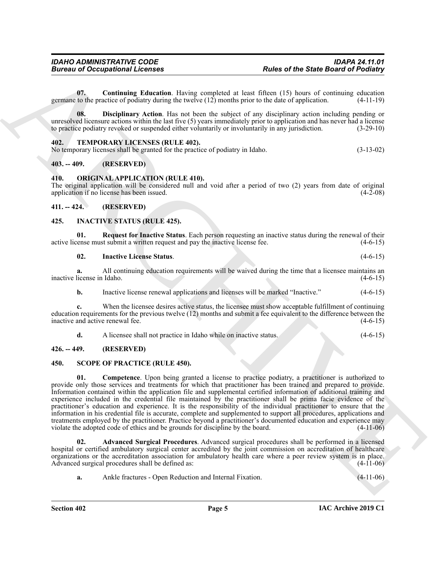<span id="page-4-10"></span>**07. Continuing Education**. Having completed at least fifteen (15) hours of continuing education germane to the practice of podiatry during the twelve (12) months prior to the date of application. (4-11-19)

<span id="page-4-11"></span>**08. Disciplinary Action**. Has not been the subject of any disciplinary action including pending or unresolved licensure actions within the last five (5) years immediately prior to application and has never had a license<br>to practice podiatry revoked or suspended either voluntarily or involuntarily in any jurisdiction. (3 to practice podiatry revoked or suspended either voluntarily or involuntarily in any jurisdiction.

### <span id="page-4-16"></span><span id="page-4-0"></span>**402. TEMPORARY LICENSES (RULE 402).**

| No temporary licenses shall be granted for the practice of podiatry in Idaho. | $(3-13-02)$ |
|-------------------------------------------------------------------------------|-------------|
|-------------------------------------------------------------------------------|-------------|

## <span id="page-4-1"></span>**403. -- 409. (RESERVED)**

## <span id="page-4-12"></span><span id="page-4-2"></span>**410. ORIGINAL APPLICATION (RULE 410).**

The original application will be considered null and void after a period of two (2) years from date of original application if no license has been issued.  $(4-2-08)$ 

## <span id="page-4-3"></span>**411. -- 424. (RESERVED)**

## <span id="page-4-7"></span><span id="page-4-4"></span>**425. INACTIVE STATUS (RULE 425).**

**01.** Request for Inactive Status. Each person requesting an inactive status during the renewal of their vense must submit a written request and pay the inactive license fee. (4-6-15) active license must submit a written request and pay the inactive license fee.

## <span id="page-4-9"></span><span id="page-4-8"></span>**02. Inactive License Status**. (4-6-15)

**a.** All continuing education requirements will be waived during the time that a licensee maintains an license in Idaho. (4-6-15) inactive license in Idaho.

**b.** Inactive license renewal applications and licenses will be marked "Inactive." (4-6-15)

**c.** When the licensee desires active status, the licensee must show acceptable fulfillment of continuing education requirements for the previous twelve (12) months and submit a fee equivalent to the difference between the inactive and active renewal fee. (4-6-15)

<span id="page-4-15"></span><span id="page-4-13"></span>**d.** A licensee shall not practice in Idaho while on inactive status. (4-6-15)

### <span id="page-4-5"></span>**426. -- 449. (RESERVED)**

### <span id="page-4-6"></span>**450. SCOPE OF PRACTICE (RULE 450).**

Forces of Decempoint Information 1. Force computed a hour Elisa of the Stark Baser of Rediction<br>
(Alexander Stark Baser of Production 1.1) and the start of the Elisa (1.1) because the production of the Computer Start of t **01.** Competence. Upon being granted a license to practice podiatry, a practitioner is authorized to provide only those services and treatments for which that practitioner has been trained and prepared to provide. Information contained within the application file and supplemental certified information of additional training and experience included in the credential file maintained by the practitioner shall be prima facie evidence of the practitioner's education and experience. It is the responsibility of the individual practitioner to ensure that the information in his credential file is accurate, complete and supplemented to support all procedures, applications and treatments employed by the practitioner. Practice beyond a practitioner's documented education and experience may violate the adopted code of ethics and be grounds for discipline by the board.  $(4-11-06)$ 

**02. Advanced Surgical Procedures**. Advanced surgical procedures shall be performed in a licensed hospital or certified ambulatory surgical center accredited by the joint commission on accreditation of healthcare organizations or the accreditation association for ambulatory health care where a peer review system is in place.<br>Advanced surgical procedures shall be defined as: (4-11-06) Advanced surgical procedures shall be defined as:

<span id="page-4-14"></span>**a.** Ankle fractures - Open Reduction and Internal Fixation. (4-11-06)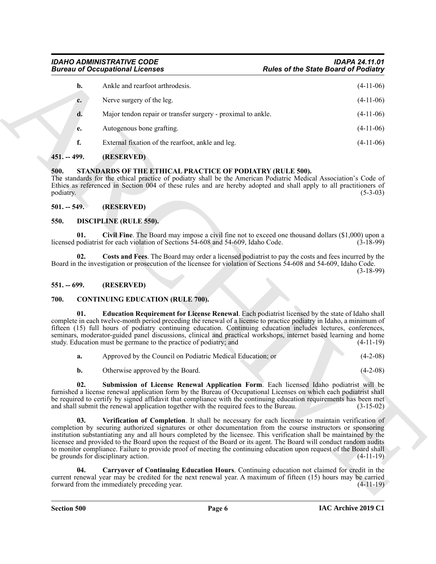## **Bureau of Occupational Licenses**

| <b>Bureau of Occupational Licenses</b> |                                                                                                                                                                                                                                                                                                                                                                                                                                                                                                                                                                                                                               | <b>Rules of the State Board of Podiatry</b> |  |
|----------------------------------------|-------------------------------------------------------------------------------------------------------------------------------------------------------------------------------------------------------------------------------------------------------------------------------------------------------------------------------------------------------------------------------------------------------------------------------------------------------------------------------------------------------------------------------------------------------------------------------------------------------------------------------|---------------------------------------------|--|
| b.                                     | Ankle and rearfoot arthrodesis.                                                                                                                                                                                                                                                                                                                                                                                                                                                                                                                                                                                               | $(4-11-06)$                                 |  |
| c.                                     | Nerve surgery of the leg.                                                                                                                                                                                                                                                                                                                                                                                                                                                                                                                                                                                                     | $(4-11-06)$                                 |  |
| d.                                     | Major tendon repair or transfer surgery - proximal to ankle.                                                                                                                                                                                                                                                                                                                                                                                                                                                                                                                                                                  | $(4-11-06)$                                 |  |
| e.                                     | Autogenous bone grafting.                                                                                                                                                                                                                                                                                                                                                                                                                                                                                                                                                                                                     | $(4-11-06)$                                 |  |
| f.                                     | External fixation of the rearfoot, ankle and leg.                                                                                                                                                                                                                                                                                                                                                                                                                                                                                                                                                                             | $(4-11-06)$                                 |  |
| 451. -- 499.                           | (RESERVED)                                                                                                                                                                                                                                                                                                                                                                                                                                                                                                                                                                                                                    |                                             |  |
| 500.<br>podiatry.                      | STANDARDS OF THE ETHICAL PRACTICE OF PODIATRY (RULE 500).<br>The standards for the ethical practice of podiatry shall be the American Podiatric Medical Association's Code of<br>Ethics as referenced in Section 004 of these rules and are hereby adopted and shall apply to all practitioners of                                                                                                                                                                                                                                                                                                                            | $(5-3-03)$                                  |  |
| $501. - 549.$                          | (RESERVED)                                                                                                                                                                                                                                                                                                                                                                                                                                                                                                                                                                                                                    |                                             |  |
| 550.                                   | <b>DISCIPLINE (RULE 550).</b>                                                                                                                                                                                                                                                                                                                                                                                                                                                                                                                                                                                                 |                                             |  |
| 01.                                    | Civil Fine. The Board may impose a civil fine not to exceed one thousand dollars $(\$1,000)$ upon a<br>licensed podiatrist for each violation of Sections 54-608 and 54-609, Idaho Code.                                                                                                                                                                                                                                                                                                                                                                                                                                      | $(3-18-99)$                                 |  |
| 02.                                    | Costs and Fees. The Board may order a licensed podiatrist to pay the costs and fees incurred by the<br>Board in the investigation or prosecution of the licensee for violation of Sections 54-608 and 54-609, Idaho Code.                                                                                                                                                                                                                                                                                                                                                                                                     | $(3-18-99)$                                 |  |
| $551. - 699.$                          | (RESERVED)                                                                                                                                                                                                                                                                                                                                                                                                                                                                                                                                                                                                                    |                                             |  |
| 700.                                   | <b>CONTINUING EDUCATION (RULE 700).</b>                                                                                                                                                                                                                                                                                                                                                                                                                                                                                                                                                                                       |                                             |  |
| 01.                                    | Education Requirement for License Renewal. Each podiatrist licensed by the state of Idaho shall<br>complete in each twelve-month period preceding the renewal of a license to practice podiatry in Idaho, a minimum of<br>fifteen (15) full hours of podiatry continuing education. Continuing education includes lectures, conferences,<br>seminars, moderator-guided panel discussions, clinical and practical workshops, internet based learning and home<br>study. Education must be germane to the practice of podiatry; and                                                                                             | $(4-11-19)$                                 |  |
| a.                                     | Approved by the Council on Podiatric Medical Education; or                                                                                                                                                                                                                                                                                                                                                                                                                                                                                                                                                                    | $(4-2-08)$                                  |  |
| b.                                     | Otherwise approved by the Board.                                                                                                                                                                                                                                                                                                                                                                                                                                                                                                                                                                                              | $(4-2-08)$                                  |  |
|                                        | Submission of License Renewal Application Form. Each licensed Idaho podiatrist will be<br>furnished a license renewal application form by the Bureau of Occupational Licenses on which each podiatrist shall<br>be required to certify by signed affidavit that compliance with the continuing education requirements has been met<br>and shall submit the renewal application together with the required fees to the Bureau.                                                                                                                                                                                                 | $(3-15-02)$                                 |  |
| 03.                                    | Verification of Completion. It shall be necessary for each licensee to maintain verification of<br>completion by securing authorized signatures or other documentation from the course instructors or sponsoring<br>institution substantiating any and all hours completed by the licensee. This verification shall be maintained by the<br>licensee and provided to the Board upon the request of the Board or its agent. The Board will conduct random audits<br>to monitor compliance. Failure to provide proof of meeting the continuing education upon request of the Board shall<br>be grounds for disciplinary action. | $(4-11-19)$                                 |  |
| 04.                                    | Carryover of Continuing Education Hours. Continuing education not claimed for credit in the<br>current renewal year may be credited for the next renewal year. A maximum of fifteen (15) hours may be carried                                                                                                                                                                                                                                                                                                                                                                                                                 |                                             |  |

## <span id="page-5-0"></span>**451. -- 499. (RESERVED)**

## <span id="page-5-14"></span><span id="page-5-1"></span>**500. STANDARDS OF THE ETHICAL PRACTICE OF PODIATRY (RULE 500).**

## <span id="page-5-2"></span>**501. -- 549. (RESERVED)**

## <span id="page-5-13"></span><span id="page-5-12"></span><span id="page-5-11"></span><span id="page-5-3"></span>**550. DISCIPLINE (RULE 550).**

## <span id="page-5-4"></span>**551. -- 699. (RESERVED)**

## <span id="page-5-8"></span><span id="page-5-6"></span><span id="page-5-5"></span>**700. CONTINUING EDUCATION (RULE 700).**

<span id="page-5-10"></span><span id="page-5-9"></span><span id="page-5-7"></span>

| а. | Approved by the Council on Podiatric Medical Education; or | $(4-2-08)$ |
|----|------------------------------------------------------------|------------|
|    |                                                            |            |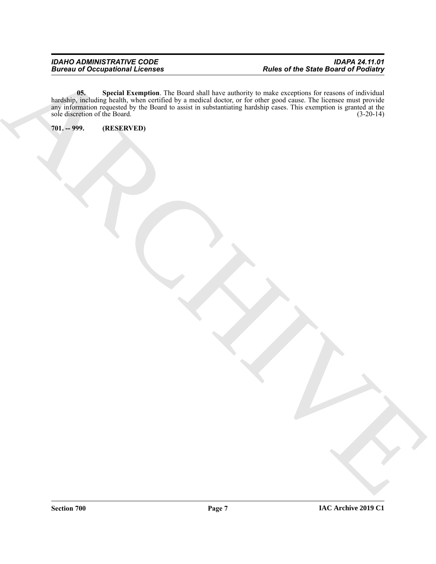ARCHIVE **05. Special Exemption**. The Board shall have authority to make exceptions for reasons of individual hardship, including health, when certified by a medical doctor, or for other good cause. The licensee must provide any information requested by the Board to assist in substantiating hardship cases. This exemption is granted at the sole discretion of the Board. (3-20-14)

<span id="page-6-1"></span><span id="page-6-0"></span>**701. -- 999. (RESERVED)**